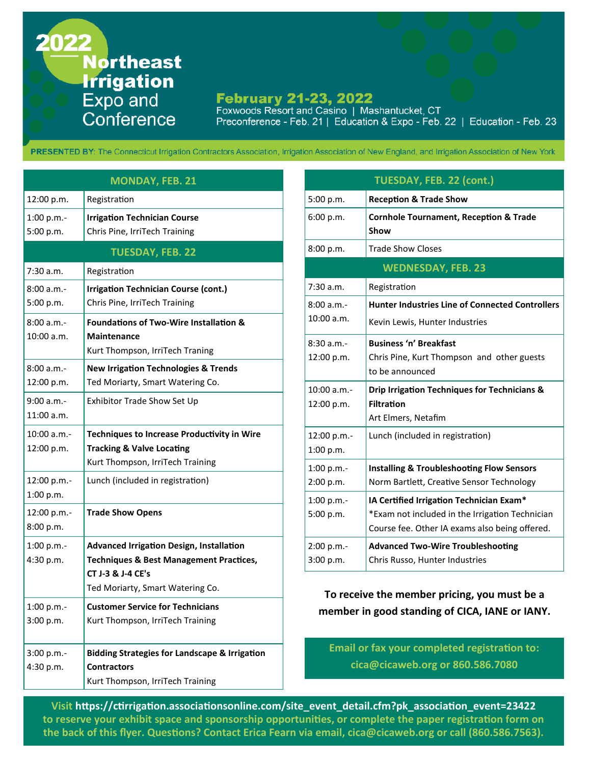2022 **Northeast Irrigation** Expo and Conference

## **February 21-23, 2022**

Foxwoods Resort and Casino | Mashantucket, CT Preconference - Feb. 21 | Education & Expo - Feb. 22 | Education - Feb. 23

PRESENTED BY: The Connecticut Irrigation Contractors Association, Irrigation Association of New England, and Irrigation Association of New York

| <b>MONDAY, FEB. 21</b>     |                                                                                                                                                                |  |  |  |
|----------------------------|----------------------------------------------------------------------------------------------------------------------------------------------------------------|--|--|--|
| 12:00 p.m.                 | Registration                                                                                                                                                   |  |  |  |
| 1:00 p.m.<br>5:00 p.m.     | <b>Irrigation Technician Course</b><br>Chris Pine, IrriTech Training                                                                                           |  |  |  |
| <b>TUESDAY, FEB. 22</b>    |                                                                                                                                                                |  |  |  |
| 7:30a.m.                   | Registration                                                                                                                                                   |  |  |  |
| 8:00 a.m.<br>5:00 p.m.     | <b>Irrigation Technician Course (cont.)</b><br>Chris Pine, IrriTech Training                                                                                   |  |  |  |
| 8:00 a.m.<br>10:00 a.m.    | <b>Foundations of Two-Wire Installation &amp;</b><br><b>Maintenance</b><br>Kurt Thompson, IrriTech Traning                                                     |  |  |  |
| 8:00 a.m.<br>12:00 p.m.    | <b>New Irrigation Technologies &amp; Trends</b><br>Ted Moriarty, Smart Watering Co.                                                                            |  |  |  |
| 9:00 a.m.-<br>$11:00$ a.m. | Exhibitor Trade Show Set Up                                                                                                                                    |  |  |  |
| 10:00 a.m.                 | <b>Techniques to Increase Productivity in Wire</b>                                                                                                             |  |  |  |
| 12:00 p.m.                 | <b>Tracking &amp; Valve Locating</b>                                                                                                                           |  |  |  |
|                            | Kurt Thompson, IrriTech Training                                                                                                                               |  |  |  |
| 12:00 p.m.-<br>1:00 p.m.   | Lunch (included in registration)                                                                                                                               |  |  |  |
| 12:00 p.m.-<br>8:00 p.m.   | <b>Trade Show Opens</b>                                                                                                                                        |  |  |  |
| 1:00 p.m.-<br>4:30 p.m.    | <b>Advanced Irrigation Design, Installation</b><br><b>Techniques &amp; Best Management Practices,</b><br>CT J-3 & J-4 CE's<br>Ted Moriarty, Smart Watering Co. |  |  |  |
| 1:00 p.m.-<br>3:00 p.m.    | <b>Customer Service for Technicians</b><br>Kurt Thompson, IrriTech Training                                                                                    |  |  |  |
| $3:00 p.m. -$              | <b>Bidding Strategies for Landscape &amp; Irrigation</b>                                                                                                       |  |  |  |
| 4:30 p.m.                  | <b>Contractors</b>                                                                                                                                             |  |  |  |
|                            | Kurt Thompson, IrriTech Training                                                                                                                               |  |  |  |

| TUESDAY, FEB. 22 (cont.)  |                                                           |  |  |  |
|---------------------------|-----------------------------------------------------------|--|--|--|
| 5:00 p.m.                 | <b>Reception &amp; Trade Show</b>                         |  |  |  |
| 6:00 p.m.                 | <b>Cornhole Tournament, Reception &amp; Trade</b><br>Show |  |  |  |
| 8:00 p.m.                 | <b>Trade Show Closes</b>                                  |  |  |  |
| <b>WEDNESDAY, FEB. 23</b> |                                                           |  |  |  |
| 7:30 a.m.                 | Registration                                              |  |  |  |
| 8:00a.m.                  | <b>Hunter Industries Line of Connected Controllers</b>    |  |  |  |
| 10:00 a.m.                | Kevin Lewis, Hunter Industries                            |  |  |  |
| $8:30 a.m. -$             | <b>Business 'n' Breakfast</b>                             |  |  |  |
| 12:00 p.m.                | Chris Pine, Kurt Thompson and other guests                |  |  |  |
|                           | to be announced                                           |  |  |  |
| 10:00a.m.                 | Drip Irrigation Techniques for Technicians &              |  |  |  |
| 12:00 p.m.                | <b>Filtration</b>                                         |  |  |  |
|                           | Art Elmers, Netafim                                       |  |  |  |
| 12:00 p.m.-               | Lunch (included in registration)                          |  |  |  |
| 1:00 p.m.                 |                                                           |  |  |  |
| 1:00 p.m.-                | <b>Installing &amp; Troubleshooting Flow Sensors</b>      |  |  |  |
| 2:00 p.m.                 | Norm Bartlett, Creative Sensor Technology                 |  |  |  |
| 1:00 p.m.-                | IA Certified Irrigation Technician Exam*                  |  |  |  |
| 5:00 p.m.                 | *Exam not included in the Irrigation Technician           |  |  |  |
|                           | Course fee. Other IA exams also being offered.            |  |  |  |
| 2:00 p.m.-                | <b>Advanced Two-Wire Troubleshooting</b>                  |  |  |  |
| 3:00 p.m.                 | Chris Russo, Hunter Industries                            |  |  |  |

**To receive the member pricing, you must be a member in good standing of CICA, IANE or IANY.** 

**Email or fax your completed registration to: cica@cicaweb.org or 860.586.7080**

**Visit https://ctirrigation.associationsonline.com/site\_event\_detail.cfm?pk\_association\_event=23422 to reserve your exhibit space and sponsorship opportunities, or complete the paper registration form on the back of this flyer. Questions? Contact Erica Fearn via email, cica@cicaweb.org or call (860.586.7563).**